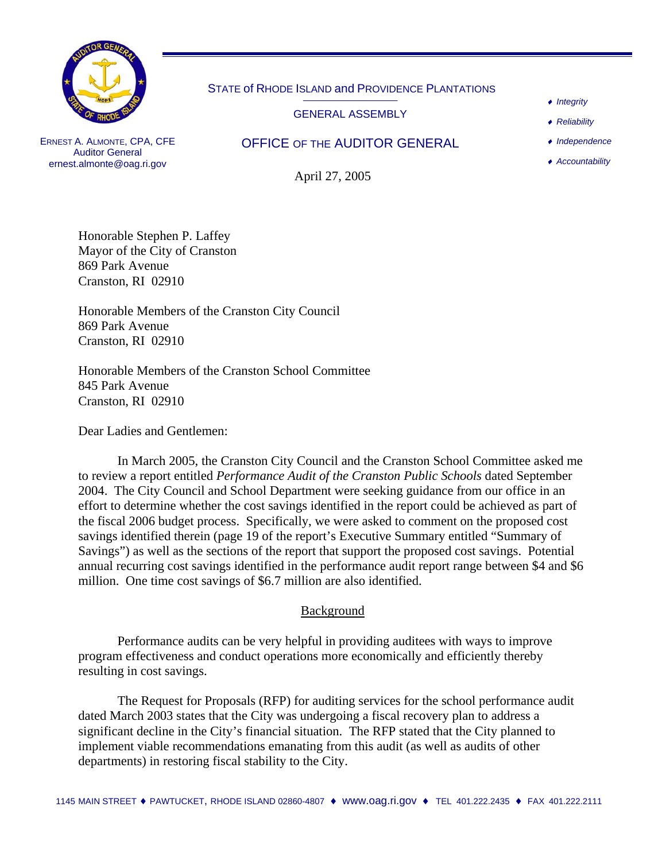

## STATE of RHODE ISLAND and PROVIDENCE PLANTATIONS

GENERAL ASSEMBLY

OFFICE OF THE AUDITOR GENERAL

♦ *Integrity* 

♦ *Reliability* 

♦ *Independence*

♦ *Accountability*

ERNEST A. ALMONTE, CPA, CFE Auditor General ernest.almonte@oag.ri.gov

April 27, 2005

Honorable Stephen P. Laffey Mayor of the City of Cranston 869 Park Avenue Cranston, RI 02910

Honorable Members of the Cranston City Council 869 Park Avenue Cranston, RI 02910

Honorable Members of the Cranston School Committee 845 Park Avenue Cranston, RI 02910

Dear Ladies and Gentlemen:

In March 2005, the Cranston City Council and the Cranston School Committee asked me to review a report entitled *Performance Audit of the Cranston Public Schools* dated September 2004. The City Council and School Department were seeking guidance from our office in an effort to determine whether the cost savings identified in the report could be achieved as part of the fiscal 2006 budget process. Specifically, we were asked to comment on the proposed cost savings identified therein (page 19 of the report's Executive Summary entitled "Summary of Savings") as well as the sections of the report that support the proposed cost savings. Potential annual recurring cost savings identified in the performance audit report range between \$4 and \$6 million. One time cost savings of \$6.7 million are also identified.

## Background

Performance audits can be very helpful in providing auditees with ways to improve program effectiveness and conduct operations more economically and efficiently thereby resulting in cost savings.

The Request for Proposals (RFP) for auditing services for the school performance audit dated March 2003 states that the City was undergoing a fiscal recovery plan to address a significant decline in the City's financial situation. The RFP stated that the City planned to implement viable recommendations emanating from this audit (as well as audits of other departments) in restoring fiscal stability to the City.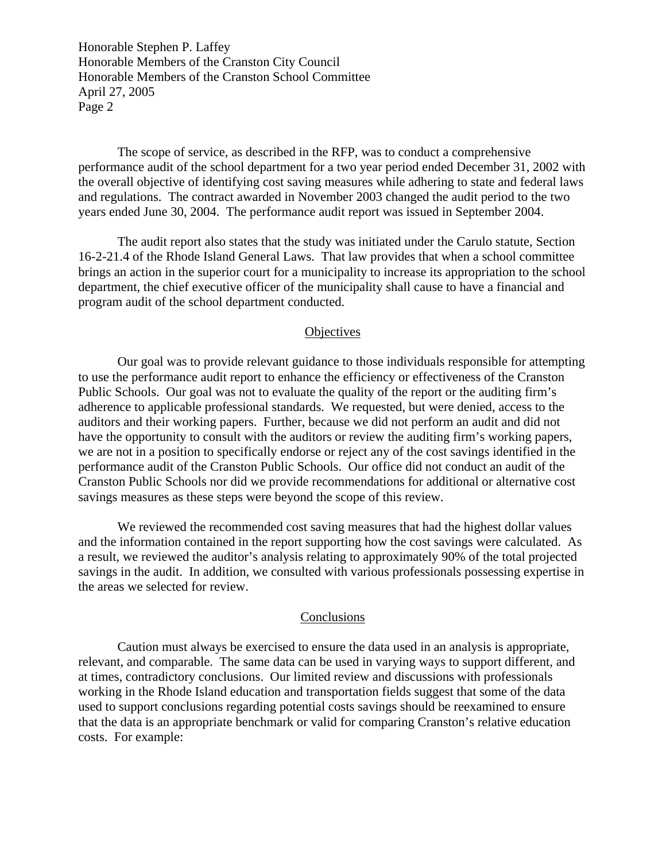Honorable Stephen P. Laffey Honorable Members of the Cranston City Council Honorable Members of the Cranston School Committee April 27, 2005 Page 2

The scope of service, as described in the RFP, was to conduct a comprehensive performance audit of the school department for a two year period ended December 31, 2002 with the overall objective of identifying cost saving measures while adhering to state and federal laws and regulations. The contract awarded in November 2003 changed the audit period to the two years ended June 30, 2004. The performance audit report was issued in September 2004.

The audit report also states that the study was initiated under the Carulo statute, Section 16-2-21.4 of the Rhode Island General Laws. That law provides that when a school committee brings an action in the superior court for a municipality to increase its appropriation to the school department, the chief executive officer of the municipality shall cause to have a financial and program audit of the school department conducted.

#### **Objectives**

Our goal was to provide relevant guidance to those individuals responsible for attempting to use the performance audit report to enhance the efficiency or effectiveness of the Cranston Public Schools. Our goal was not to evaluate the quality of the report or the auditing firm's adherence to applicable professional standards. We requested, but were denied, access to the auditors and their working papers. Further, because we did not perform an audit and did not have the opportunity to consult with the auditors or review the auditing firm's working papers, we are not in a position to specifically endorse or reject any of the cost savings identified in the performance audit of the Cranston Public Schools. Our office did not conduct an audit of the Cranston Public Schools nor did we provide recommendations for additional or alternative cost savings measures as these steps were beyond the scope of this review.

We reviewed the recommended cost saving measures that had the highest dollar values and the information contained in the report supporting how the cost savings were calculated. As a result, we reviewed the auditor's analysis relating to approximately 90% of the total projected savings in the audit. In addition, we consulted with various professionals possessing expertise in the areas we selected for review.

#### Conclusions

Caution must always be exercised to ensure the data used in an analysis is appropriate, relevant, and comparable. The same data can be used in varying ways to support different, and at times, contradictory conclusions. Our limited review and discussions with professionals working in the Rhode Island education and transportation fields suggest that some of the data used to support conclusions regarding potential costs savings should be reexamined to ensure that the data is an appropriate benchmark or valid for comparing Cranston's relative education costs. For example: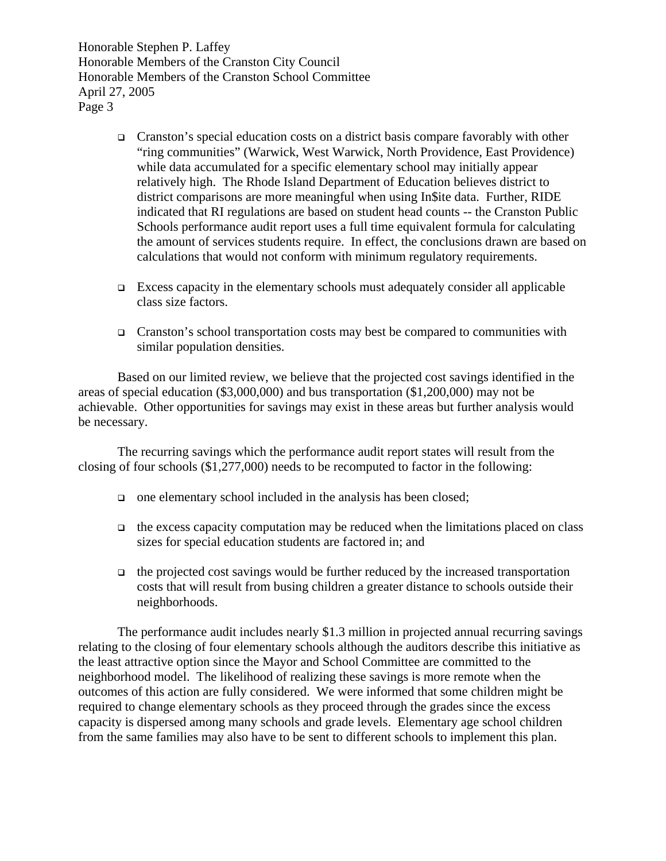Honorable Stephen P. Laffey Honorable Members of the Cranston City Council Honorable Members of the Cranston School Committee April 27, 2005 Page 3

- Cranston's special education costs on a district basis compare favorably with other "ring communities" (Warwick, West Warwick, North Providence, East Providence) while data accumulated for a specific elementary school may initially appear relatively high. The Rhode Island Department of Education believes district to district comparisons are more meaningful when using In\$ite data. Further, RIDE indicated that RI regulations are based on student head counts -- the Cranston Public Schools performance audit report uses a full time equivalent formula for calculating the amount of services students require. In effect, the conclusions drawn are based on calculations that would not conform with minimum regulatory requirements.
- $\Box$  Excess capacity in the elementary schools must adequately consider all applicable class size factors.
- Cranston's school transportation costs may best be compared to communities with similar population densities.

Based on our limited review, we believe that the projected cost savings identified in the areas of special education (\$3,000,000) and bus transportation (\$1,200,000) may not be achievable. Other opportunities for savings may exist in these areas but further analysis would be necessary.

The recurring savings which the performance audit report states will result from the closing of four schools (\$1,277,000) needs to be recomputed to factor in the following:

- $\Box$  one elementary school included in the analysis has been closed;
- $\Box$  the excess capacity computation may be reduced when the limitations placed on class sizes for special education students are factored in; and
- $\Box$  the projected cost savings would be further reduced by the increased transportation costs that will result from busing children a greater distance to schools outside their neighborhoods.

The performance audit includes nearly \$1.3 million in projected annual recurring savings relating to the closing of four elementary schools although the auditors describe this initiative as the least attractive option since the Mayor and School Committee are committed to the neighborhood model. The likelihood of realizing these savings is more remote when the outcomes of this action are fully considered. We were informed that some children might be required to change elementary schools as they proceed through the grades since the excess capacity is dispersed among many schools and grade levels. Elementary age school children from the same families may also have to be sent to different schools to implement this plan.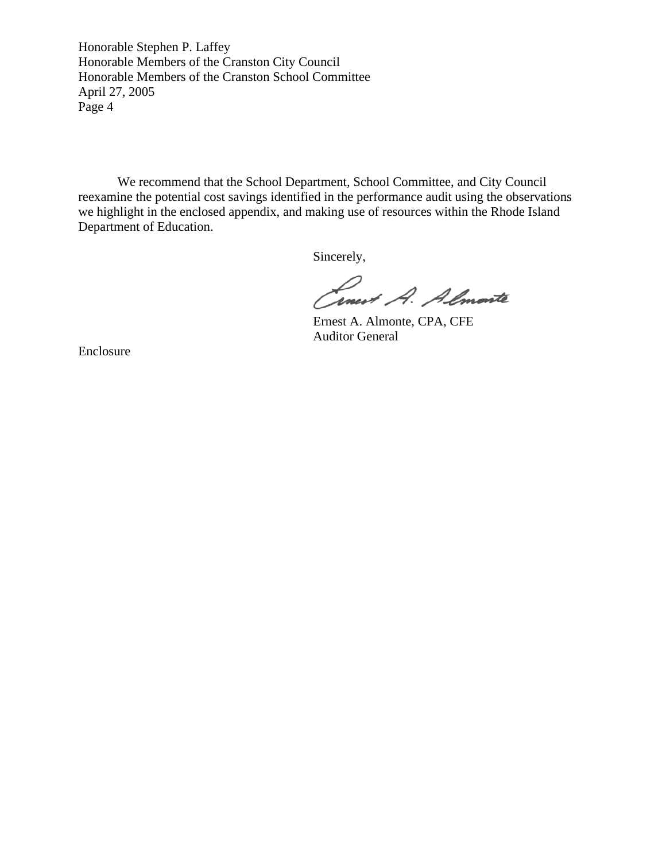Honorable Stephen P. Laffey Honorable Members of the Cranston City Council Honorable Members of the Cranston School Committee April 27, 2005 Page 4

We recommend that the School Department, School Committee, and City Council reexamine the potential cost savings identified in the performance audit using the observations we highlight in the enclosed appendix, and making use of resources within the Rhode Island Department of Education.

Sincerely,

Cinest A. Almarte

Ernest A. Almonte, CPA, CFE Auditor General

Enclosure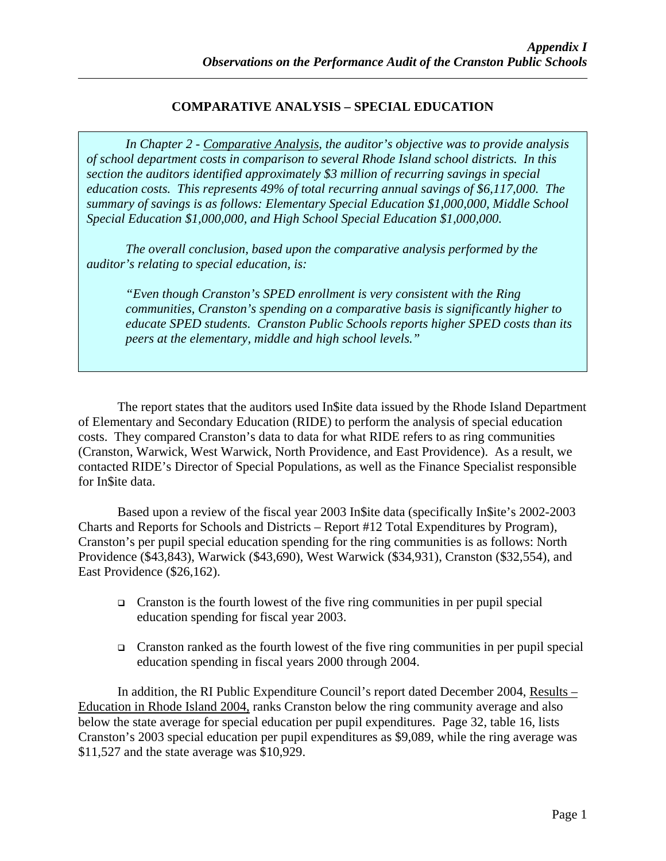# **COMPARATIVE ANALYSIS – SPECIAL EDUCATION**

*In Chapter 2 - Comparative Analysis, the auditor's objective was to provide analysis of school department costs in comparison to several Rhode Island school districts. In this section the auditors identified approximately \$3 million of recurring savings in special education costs. This represents 49% of total recurring annual savings of \$6,117,000. The summary of savings is as follows: Elementary Special Education \$1,000,000, Middle School Special Education \$1,000,000, and High School Special Education \$1,000,000.* 

*The overall conclusion, based upon the comparative analysis performed by the auditor's relating to special education, is:* 

*"Even though Cranston's SPED enrollment is very consistent with the Ring communities, Cranston's spending on a comparative basis is significantly higher to educate SPED students. Cranston Public Schools reports higher SPED costs than its peers at the elementary, middle and high school levels."* 

The report states that the auditors used In\$ite data issued by the Rhode Island Department of Elementary and Secondary Education (RIDE) to perform the analysis of special education costs. They compared Cranston's data to data for what RIDE refers to as ring communities (Cranston, Warwick, West Warwick, North Providence, and East Providence). As a result, we contacted RIDE's Director of Special Populations, as well as the Finance Specialist responsible for In\$ite data.

Based upon a review of the fiscal year 2003 In\$ite data (specifically In\$ite's 2002-2003 Charts and Reports for Schools and Districts – Report #12 Total Expenditures by Program), Cranston's per pupil special education spending for the ring communities is as follows: North Providence (\$43,843), Warwick (\$43,690), West Warwick (\$34,931), Cranston (\$32,554), and East Providence (\$26,162).

- $\Box$  Cranston is the fourth lowest of the five ring communities in per pupil special education spending for fiscal year 2003.
- Cranston ranked as the fourth lowest of the five ring communities in per pupil special education spending in fiscal years 2000 through 2004.

In addition, the RI Public Expenditure Council's report dated December 2004, Results – Education in Rhode Island 2004, ranks Cranston below the ring community average and also below the state average for special education per pupil expenditures. Page 32, table 16, lists Cranston's 2003 special education per pupil expenditures as \$9,089, while the ring average was \$11,527 and the state average was \$10,929.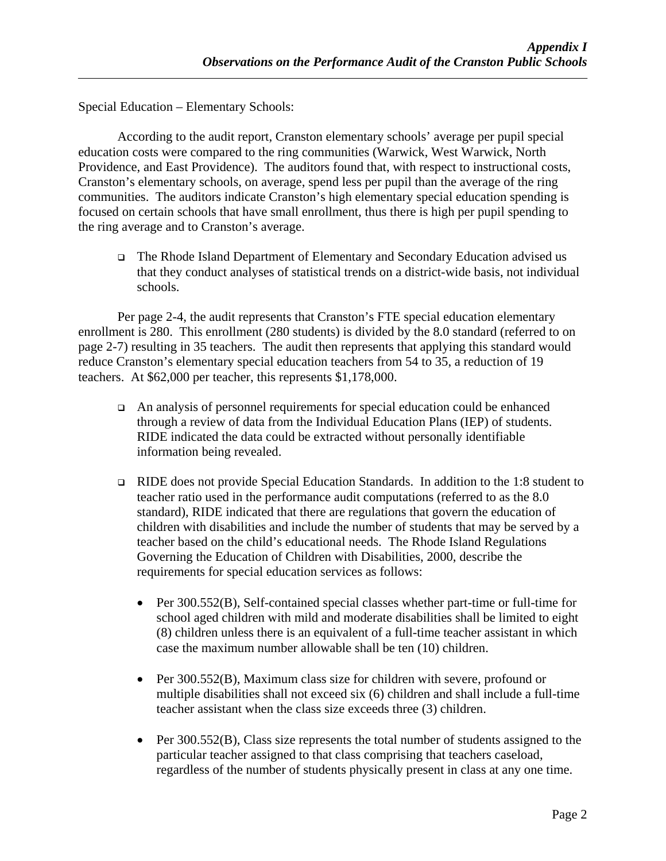Special Education – Elementary Schools:

According to the audit report, Cranston elementary schools' average per pupil special education costs were compared to the ring communities (Warwick, West Warwick, North Providence, and East Providence). The auditors found that, with respect to instructional costs, Cranston's elementary schools, on average, spend less per pupil than the average of the ring communities. The auditors indicate Cranston's high elementary special education spending is focused on certain schools that have small enrollment, thus there is high per pupil spending to the ring average and to Cranston's average.

 The Rhode Island Department of Elementary and Secondary Education advised us that they conduct analyses of statistical trends on a district-wide basis, not individual schools.

Per page 2-4, the audit represents that Cranston's FTE special education elementary enrollment is 280. This enrollment (280 students) is divided by the 8.0 standard (referred to on page 2-7) resulting in 35 teachers. The audit then represents that applying this standard would reduce Cranston's elementary special education teachers from 54 to 35, a reduction of 19 teachers. At \$62,000 per teacher, this represents \$1,178,000.

- An analysis of personnel requirements for special education could be enhanced through a review of data from the Individual Education Plans (IEP) of students. RIDE indicated the data could be extracted without personally identifiable information being revealed.
- RIDE does not provide Special Education Standards. In addition to the 1:8 student to teacher ratio used in the performance audit computations (referred to as the 8.0 standard), RIDE indicated that there are regulations that govern the education of children with disabilities and include the number of students that may be served by a teacher based on the child's educational needs. The Rhode Island Regulations Governing the Education of Children with Disabilities, 2000, describe the requirements for special education services as follows:
	- Per 300.552(B), Self-contained special classes whether part-time or full-time for school aged children with mild and moderate disabilities shall be limited to eight (8) children unless there is an equivalent of a full-time teacher assistant in which case the maximum number allowable shall be ten (10) children.
	- Per 300.552(B), Maximum class size for children with severe, profound or multiple disabilities shall not exceed six (6) children and shall include a full-time teacher assistant when the class size exceeds three (3) children.
	- Per 300.552(B), Class size represents the total number of students assigned to the particular teacher assigned to that class comprising that teachers caseload, regardless of the number of students physically present in class at any one time.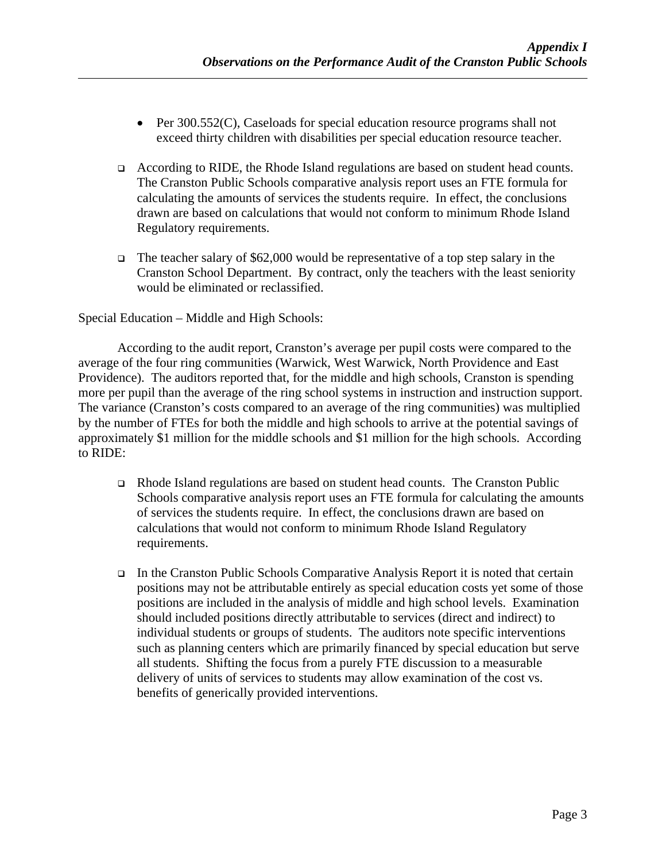- Per 300.552(C), Caseloads for special education resource programs shall not exceed thirty children with disabilities per special education resource teacher.
- According to RIDE, the Rhode Island regulations are based on student head counts. The Cranston Public Schools comparative analysis report uses an FTE formula for calculating the amounts of services the students require. In effect, the conclusions drawn are based on calculations that would not conform to minimum Rhode Island Regulatory requirements.
- The teacher salary of \$62,000 would be representative of a top step salary in the Cranston School Department. By contract, only the teachers with the least seniority would be eliminated or reclassified.

Special Education – Middle and High Schools:

According to the audit report, Cranston's average per pupil costs were compared to the average of the four ring communities (Warwick, West Warwick, North Providence and East Providence). The auditors reported that, for the middle and high schools, Cranston is spending more per pupil than the average of the ring school systems in instruction and instruction support. The variance (Cranston's costs compared to an average of the ring communities) was multiplied by the number of FTEs for both the middle and high schools to arrive at the potential savings of approximately \$1 million for the middle schools and \$1 million for the high schools.According to RIDE:

- Rhode Island regulations are based on student head counts. The Cranston Public Schools comparative analysis report uses an FTE formula for calculating the amounts of services the students require. In effect, the conclusions drawn are based on calculations that would not conform to minimum Rhode Island Regulatory requirements.
- In the Cranston Public Schools Comparative Analysis Report it is noted that certain positions may not be attributable entirely as special education costs yet some of those positions are included in the analysis of middle and high school levels. Examination should included positions directly attributable to services (direct and indirect) to individual students or groups of students. The auditors note specific interventions such as planning centers which are primarily financed by special education but serve all students. Shifting the focus from a purely FTE discussion to a measurable delivery of units of services to students may allow examination of the cost vs. benefits of generically provided interventions.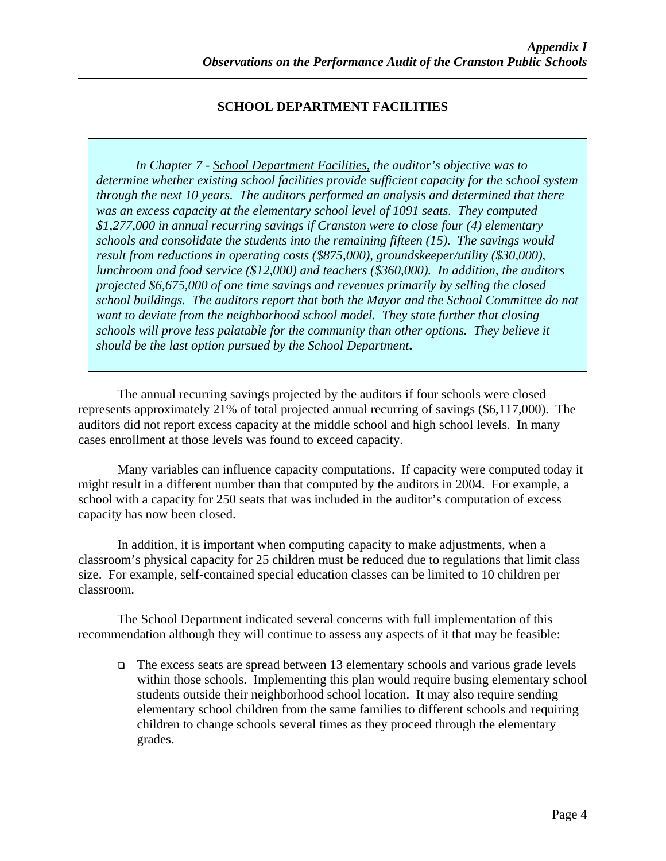# **SCHOOL DEPARTMENT FACILITIES**

*In Chapter 7 - School Department Facilities, the auditor's objective was to determine whether existing school facilities provide sufficient capacity for the school system through the next 10 years. The auditors performed an analysis and determined that there was an excess capacity at the elementary school level of 1091 seats. They computed \$1,277,000 in annual recurring savings if Cranston were to close four (4) elementary schools and consolidate the students into the remaining fifteen (15). The savings would result from reductions in operating costs (\$875,000), groundskeeper/utility (\$30,000), lunchroom and food service (\$12,000) and teachers (\$360,000). In addition, the auditors projected \$6,675,000 of one time savings and revenues primarily by selling the closed school buildings. The auditors report that both the Mayor and the School Committee do not want to deviate from the neighborhood school model. They state further that closing schools will prove less palatable for the community than other options. They believe it should be the last option pursued by the School Department***.** 

The annual recurring savings projected by the auditors if four schools were closed represents approximately 21% of total projected annual recurring of savings (\$6,117,000). The auditors did not report excess capacity at the middle school and high school levels. In many cases enrollment at those levels was found to exceed capacity.

Many variables can influence capacity computations. If capacity were computed today it might result in a different number than that computed by the auditors in 2004. For example, a school with a capacity for 250 seats that was included in the auditor's computation of excess capacity has now been closed.

In addition, it is important when computing capacity to make adjustments, when a classroom's physical capacity for 25 children must be reduced due to regulations that limit class size. For example, self-contained special education classes can be limited to 10 children per classroom.

The School Department indicated several concerns with full implementation of this recommendation although they will continue to assess any aspects of it that may be feasible:

 $\Box$  The excess seats are spread between 13 elementary schools and various grade levels within those schools. Implementing this plan would require busing elementary school students outside their neighborhood school location. It may also require sending elementary school children from the same families to different schools and requiring children to change schools several times as they proceed through the elementary grades.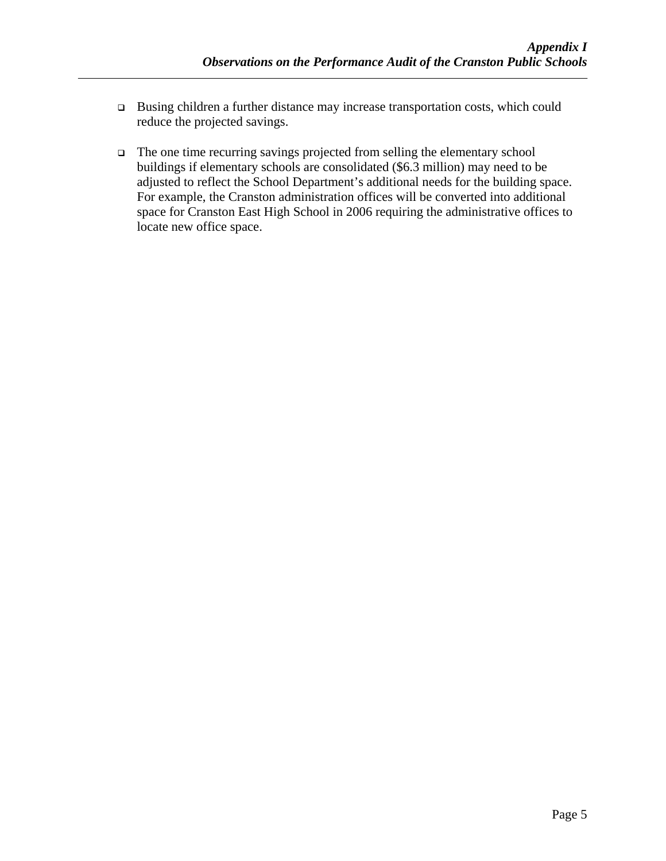- Busing children a further distance may increase transportation costs, which could reduce the projected savings.
- $\Box$  The one time recurring savings projected from selling the elementary school buildings if elementary schools are consolidated (\$6.3 million) may need to be adjusted to reflect the School Department's additional needs for the building space. For example, the Cranston administration offices will be converted into additional space for Cranston East High School in 2006 requiring the administrative offices to locate new office space.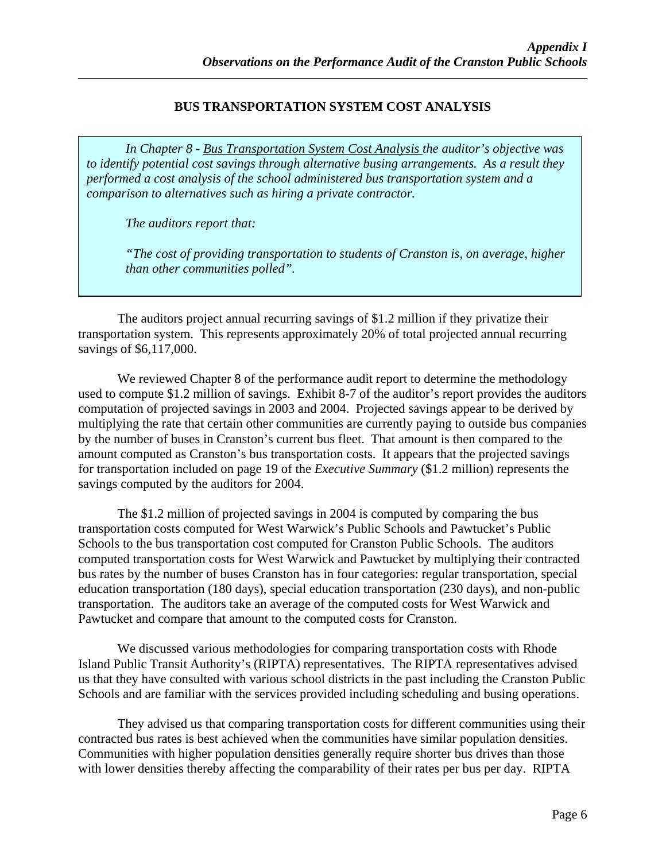# **BUS TRANSPORTATION SYSTEM COST ANALYSIS**

*In Chapter 8 - Bus Transportation System Cost Analysis the auditor's objective was to identify potential cost savings through alternative busing arrangements. As a result they performed a cost analysis of the school administered bus transportation system and a comparison to alternatives such as hiring a private contractor.* 

*The auditors report that:* 

*"The cost of providing transportation to students of Cranston is, on average, higher than other communities polled".* 

The auditors project annual recurring savings of \$1.2 million if they privatize their transportation system. This represents approximately 20% of total projected annual recurring savings of \$6,117,000.

 We reviewed Chapter 8 of the performance audit report to determine the methodology used to compute \$1.2 million of savings. Exhibit 8-7 of the auditor's report provides the auditors computation of projected savings in 2003 and 2004. Projected savings appear to be derived by multiplying the rate that certain other communities are currently paying to outside bus companies by the number of buses in Cranston's current bus fleet. That amount is then compared to the amount computed as Cranston's bus transportation costs. It appears that the projected savings for transportation included on page 19 of the *Executive Summary* (\$1.2 million) represents the savings computed by the auditors for 2004.

The \$1.2 million of projected savings in 2004 is computed by comparing the bus transportation costs computed for West Warwick's Public Schools and Pawtucket's Public Schools to the bus transportation cost computed for Cranston Public Schools. The auditors computed transportation costs for West Warwick and Pawtucket by multiplying their contracted bus rates by the number of buses Cranston has in four categories: regular transportation, special education transportation (180 days), special education transportation (230 days), and non-public transportation. The auditors take an average of the computed costs for West Warwick and Pawtucket and compare that amount to the computed costs for Cranston.

We discussed various methodologies for comparing transportation costs with Rhode Island Public Transit Authority's (RIPTA) representatives. The RIPTA representatives advised us that they have consulted with various school districts in the past including the Cranston Public Schools and are familiar with the services provided including scheduling and busing operations.

They advised us that comparing transportation costs for different communities using their contracted bus rates is best achieved when the communities have similar population densities. Communities with higher population densities generally require shorter bus drives than those with lower densities thereby affecting the comparability of their rates per bus per day. RIPTA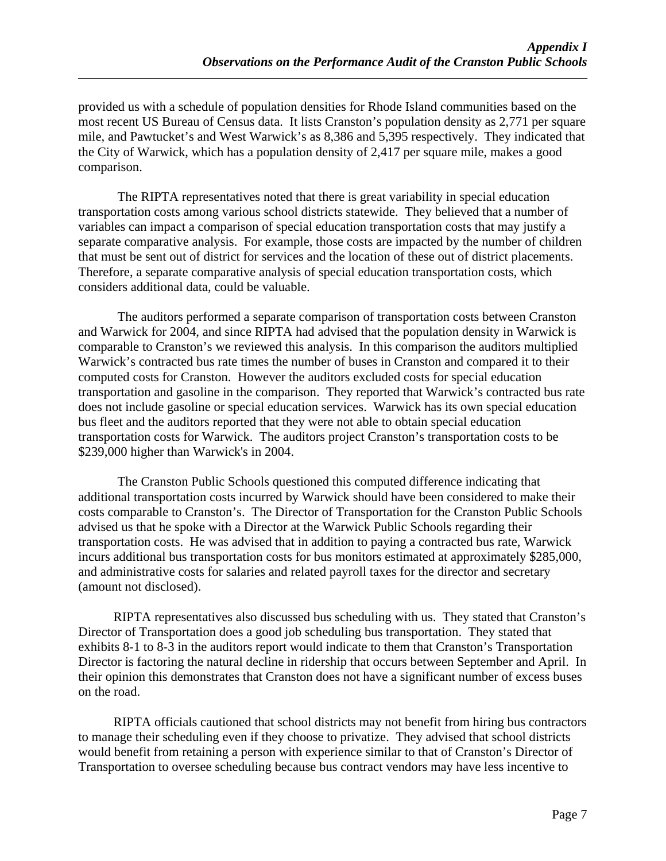provided us with a schedule of population densities for Rhode Island communities based on the most recent US Bureau of Census data. It lists Cranston's population density as 2,771 per square mile, and Pawtucket's and West Warwick's as 8,386 and 5,395 respectively. They indicated that the City of Warwick, which has a population density of 2,417 per square mile, makes a good comparison.

The RIPTA representatives noted that there is great variability in special education transportation costs among various school districts statewide. They believed that a number of variables can impact a comparison of special education transportation costs that may justify a separate comparative analysis. For example, those costs are impacted by the number of children that must be sent out of district for services and the location of these out of district placements. Therefore, a separate comparative analysis of special education transportation costs, which considers additional data, could be valuable.

The auditors performed a separate comparison of transportation costs between Cranston and Warwick for 2004, and since RIPTA had advised that the population density in Warwick is comparable to Cranston's we reviewed this analysis. In this comparison the auditors multiplied Warwick's contracted bus rate times the number of buses in Cranston and compared it to their computed costs for Cranston. However the auditors excluded costs for special education transportation and gasoline in the comparison. They reported that Warwick's contracted bus rate does not include gasoline or special education services. Warwick has its own special education bus fleet and the auditors reported that they were not able to obtain special education transportation costs for Warwick. The auditors project Cranston's transportation costs to be \$239,000 higher than Warwick's in 2004.

The Cranston Public Schools questioned this computed difference indicating that additional transportation costs incurred by Warwick should have been considered to make their costs comparable to Cranston's. The Director of Transportation for the Cranston Public Schools advised us that he spoke with a Director at the Warwick Public Schools regarding their transportation costs. He was advised that in addition to paying a contracted bus rate, Warwick incurs additional bus transportation costs for bus monitors estimated at approximately \$285,000, and administrative costs for salaries and related payroll taxes for the director and secretary (amount not disclosed).

RIPTA representatives also discussed bus scheduling with us. They stated that Cranston's Director of Transportation does a good job scheduling bus transportation. They stated that exhibits 8-1 to 8-3 in the auditors report would indicate to them that Cranston's Transportation Director is factoring the natural decline in ridership that occurs between September and April. In their opinion this demonstrates that Cranston does not have a significant number of excess buses on the road.

RIPTA officials cautioned that school districts may not benefit from hiring bus contractors to manage their scheduling even if they choose to privatize. They advised that school districts would benefit from retaining a person with experience similar to that of Cranston's Director of Transportation to oversee scheduling because bus contract vendors may have less incentive to